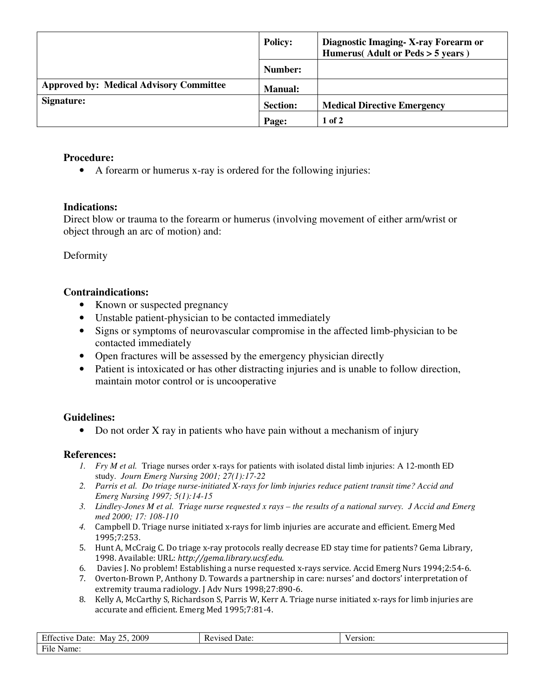|                                                | <b>Policy:</b>  | Diagnostic Imaging - X-ray Forearm or<br>Humerus(Adult or Peds > 5 years) |
|------------------------------------------------|-----------------|---------------------------------------------------------------------------|
|                                                | Number:         |                                                                           |
| <b>Approved by: Medical Advisory Committee</b> | <b>Manual:</b>  |                                                                           |
| Signature:                                     | <b>Section:</b> | <b>Medical Directive Emergency</b>                                        |
|                                                | Page:           | $1$ of $2$                                                                |

## **Procedure:**

• A forearm or humerus x-ray is ordered for the following injuries:

### **Indications:**

Direct blow or trauma to the forearm or humerus (involving movement of either arm/wrist or object through an arc of motion) and:

Deformity

### **Contraindications:**

- Known or suspected pregnancy
- Unstable patient-physician to be contacted immediately
- Signs or symptoms of neurovascular compromise in the affected limb-physician to be contacted immediately
- Open fractures will be assessed by the emergency physician directly
- Patient is intoxicated or has other distracting injuries and is unable to follow direction, maintain motor control or is uncooperative

# **Guidelines:**

• Do not order X ray in patients who have pain without a mechanism of injury

#### **References:**

- *1. Fry M et al.* Triage nurses order x-rays for patients with isolated distal limb injuries: A 12-month ED study. *Journ Emerg Nursing 2001; 27(1):17-22*
- *2. Parris et al. Do triage nurse-initiated X-rays for limb injuries reduce patient transit time? Accid and Emerg Nursing 1997; 5(1):14-15*
- *3. Lindley-Jones M et al. Triage nurse requested x rays the results of a national survey. J Accid and Emerg med 2000; 17: 108-110*
- *4.* Campbell D. Triage nurse initiated x-rays for limb injuries are accurate and efficient. Emerg Med 1995;7:253.
- 5. Hunt A, McCraig C. Do triage x-ray protocols really decrease ED stay time for patients? Gema Library, 1998. Available: URL: http://gema.library.ucsf.edu.
- 6. Davies J. No problem! Establishing a nurse requested x-rays service. Accid Emerg Nurs 1994;2:54-6.
- 7. Overton-Brown P, Anthony D. Towards a partnership in care: nurses' and doctors' interpretation of extremity trauma radiology. J Adv Nurs 1998;27:890-6.
- 8. Kelly A, McCarthy S, Richardson S, Parris W, Kerr A. Triage nurse initiated x-rays for limb injuries are accurate and efficient. Emerg Med 1995;7:81-4.

| Effective<br>2009<br>つく<br>Date:<br>May<br>$\overline{\phantom{a}}$ | Revised Date: | 'ersion: |
|---------------------------------------------------------------------|---------------|----------|
| File Name:                                                          |               |          |